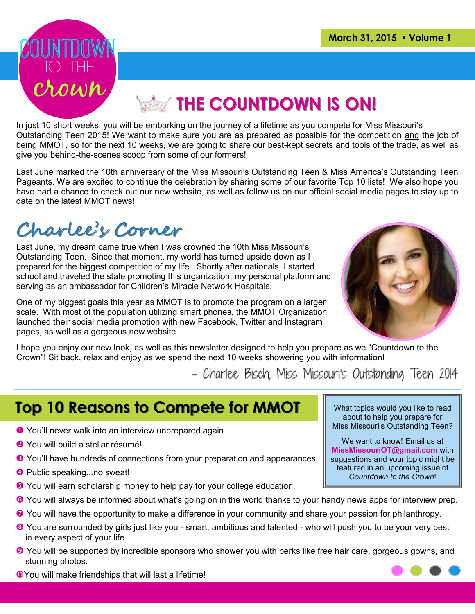

# **Example 20 NM COUNTDOWN IS ON!**

In just 10 short weeks, you will be embarking on the journey of a lifetime as you compete for Miss Missouri's Outstanding Teen 2015! We want to make sure you are as prepared as possible for the competition and the job of being MMOT, so for the next 10 weeks, we are going to share our best-kept secrets and tools of the trade, as well as give you behind-the-scenes scoop from some of our formers!

Last June marked the 10th anniversary of the Miss Missouri's Outstanding Teen & Miss America's Outstanding Teen Pageants. We are excited to continue the celebration by sharing some of our favorite Top 10 lists! We also hope you have had a chance to check out our new website, as well as follow us on our official social media pages to stay up to date on the latest MMOT news!

## Charlee's Corner

Last June, my dream came true when I was crowned the 10th Miss Missouri's Outstanding Teen. Since that moment, my world has turned upside down as I prepared for the biggest competition of my life. Shortly after nationals, I started school and traveled the state promoting this organization, my personal platform and serving as an ambassador for Children's Miracle Network Hospitals.

One of my biggest goals this year as MMOT is to promote the program on a larger scale. With most of the population utilizing smart phones, the MMOT Organization launched their social media promotion with new Facebook, Twitter and Instagram pages, as well as a gorgeous new website.



I hope you enjoy our new look, as well as this newsletter designed to help you prepare as we "Countdown to the Crown"! Sit back, relax and enjoy as we spend the next 10 weeks showering you with information!

- Charlee Bisch, Miss Missouri's Outstanding Teen 2014

## **Top 10 Reasons to Compete for MMOT**

- You'll never walk into an interview unprepared again.
- **8** You will build a stellar résumé!
- **E** You'll have hundreds of connections from your preparation and appearances.
- **O** Public speaking...no sweat!
- You will earn scholarship money to help pay for your college education.
- You will always be informed about what's going on in the world thanks to your handy news apps for interview prep.
- ◆ You will have the opportunity to make a difference in your community and share your passion for philanthropy.
- You are surrounded by girls just like you smart, ambitious and talented who will push you to be your very best in every aspect of your life.
- You will be supported by incredible sponsors who shower you with perks like free hair care, gorgeous gowns, and stunning photos.
- **O**You will make friendships that will last a lifetime!

What topics would you like to read about to help you prepare for Miss Missouri's Outstanding Teen?

We want to know! Email us at **[MissMissouriOT@gmail.com](mailto:www.missmissouriot@gmail.com)** with suggestions and your topic might be featured in an upcoming issue of *Countdown to the Crown*!